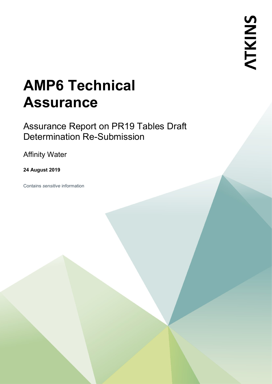# **AMP6 Technical Assurance**

Assurance Report on PR19 Tables Draft Determination Re-Submission

Affinity Water

### **24 August 2019**

Contains *sensitive* information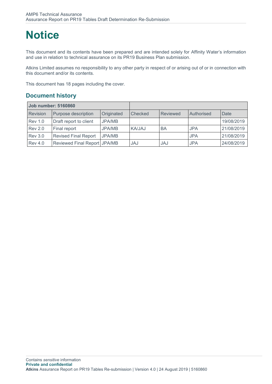## **Notice**

This document and its contents have been prepared and are intended solely for Affinity Water's information and use in relation to technical assurance on its PR19 Business Plan submission.

Atkins Limited assumes no responsibility to any other party in respect of or arising out of or in connection with this document and/or its contents.

This document has 18 pages including the cover.

### **Document history**

| <b>Job number: 5160860</b> |                              |            |         |          |            |            |
|----------------------------|------------------------------|------------|---------|----------|------------|------------|
| Revision                   | Purpose description          | Originated | Checked | Reviewed | Authorised | Date       |
| <b>Rev 1.0</b>             | Draft report to client       | JPA/MB     |         |          |            | 19/08/2019 |
| <b>Rev 2.0</b>             | Final report                 | JPA/MB     | KA/JAJ  | BA       | <b>JPA</b> | 21/08/2019 |
| <b>Rev 3.0</b>             | <b>Revised Final Report</b>  | JPA/MB     |         |          | <b>JPA</b> | 21/08/2019 |
| <b>Rev 4.0</b>             | Reviewed Final Report JPA/MB |            | JAJ     | JAJ      | <b>JPA</b> | 24/08/2019 |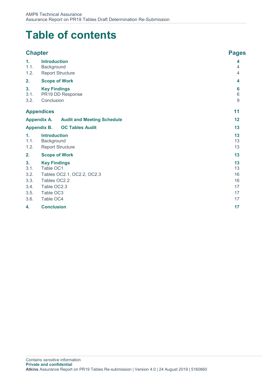## **Table of contents**

|                                                    | <b>Chapter</b>                                                                                                          | <b>Pages</b>                           |
|----------------------------------------------------|-------------------------------------------------------------------------------------------------------------------------|----------------------------------------|
| $\mathbf{1}$ .<br>1.1.<br>1.2.                     | <b>Introduction</b><br>Background<br><b>Report Structure</b>                                                            | 4<br>4<br>4                            |
| 2.                                                 | <b>Scope of Work</b>                                                                                                    | 4                                      |
| 3.<br>3.1.<br>3.2.                                 | <b>Key Findings</b><br>PR19 DD Response<br>Conclusion                                                                   | 6<br>$6\phantom{1}$<br>$\overline{9}$  |
|                                                    | <b>Appendices</b>                                                                                                       | 11                                     |
|                                                    | <b>Appendix A.</b><br><b>Audit and Meeting Schedule</b>                                                                 | 12                                     |
|                                                    | <b>Appendix B.</b><br><b>OC Tables Audit</b>                                                                            | 13                                     |
| 1.<br>1.1.<br>1.2.                                 | <b>Introduction</b><br>Background<br><b>Report Structure</b>                                                            | 13<br>13<br>13                         |
| 2.                                                 | <b>Scope of Work</b>                                                                                                    | 13                                     |
| 3.<br>3.1.<br>3.2.<br>3.3.<br>3.4.<br>3.5.<br>3.6. | <b>Key Findings</b><br>Table OC1<br>Tables OC2.1, OC2.2, OC2.3<br>Tables OC2.2<br>Table OC2.3<br>Table OC3<br>Table OC4 | 13<br>13<br>16<br>16<br>17<br>17<br>17 |
| 4.                                                 | <b>Conclusion</b>                                                                                                       | 17                                     |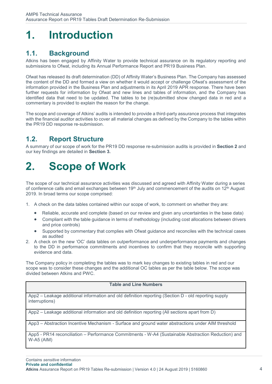## <span id="page-3-0"></span>**1. Introduction**

## <span id="page-3-1"></span>**1.1. Background**

Atkins has been engaged by Affinity Water to provide technical assurance on its regulatory reporting and submissions to Ofwat, including its Annual Performance Report and PR19 Business Plan.

Ofwat has released its draft determination (DD) of Affinity Water's Business Plan. The Company has assessed the content of the DD and formed a view on whether it would accept or challenge Ofwat's assessment of the information provided in the Business Plan and adjustments in its April 2019 APR response. There have been further requests for information by Ofwat and new lines and tables of information, and the Company has identified data that need to be updated. The tables to be (re)submitted show changed data in red and a commentary is provided to explain the reason for the change.

The scope and coverage of Atkins' audits is intended to provide a third-party assurance process that integrates with the financial auditor activities to cover all material changes as defined by the Company to the tables within the PR19 DD response re-submission.

### <span id="page-3-2"></span>**1.2. Report Structure**

A summary of our scope of work for the PR19 DD response re-submission audits is provided in **Section [2](#page-3-3)** and our key findings are detailed in **Section [3.](#page-5-0)**

## <span id="page-3-3"></span>**2. Scope of Work**

The scope of our technical assurance activities was discussed and agreed with Affinity Water during a series of conference calls and email exchanges between 19th July and commencement of the audits on 12th August 2019. In broad terms our scope comprised:

- 1. A check on the data tables contained within our scope of work, to comment on whether they are:
	- Reliable, accurate and complete (based on our review and given any uncertainties in the base data)
	- Compliant with the table guidance in terms of methodology (including cost allocations between drivers and price controls)
	- Supported by commentary that complies with Ofwat guidance and reconciles with the technical cases as audited
- 2. A check on the new 'OC' data tables on outperformance and underperformance payments and changes to the DD in performance commitments and incentives to confirm that they reconcile with supporting evidence and data.

The Company policy in completing the tables was to mark key changes to existing tables in red and our scope was to consider these changes and the additional OC tables as per the table below. The scope was divided between Atkins and PWC.

#### **Table and Line Numbers**

App2 – Leakage additional information and old definition reporting (Section D - old reporting supply interruptions)

App2 – Leakage additional information and old definition reporting (All sections apart from D)

App3 – Abstraction Incentive Mechanism - Surface and ground water abstractions under AIM threshold

App5 - PR14 reconciliation – Performance Commitments - W-A4 (Sustainable Abstraction Reduction) and W-A5 (AIM)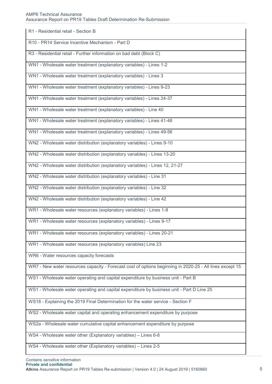#### AMP6 Technical Assurance

Assurance Report on PR19 Tables Draft Determination Re-Submission

| R1 - Residential retail - Section B                                                                      |
|----------------------------------------------------------------------------------------------------------|
| R10 - PR14 Service Incentive Mechanism - Part D                                                          |
| R3 - Residential retail - Further information on bad debt (Block C)                                      |
| WN1 - Wholesale water treatment (explanatory variables) - Lines 1-2                                      |
| WN1 - Wholesale water treatment (explanatory variables) - Lines 3                                        |
| WN1 - Wholesale water treatment (explanatory variables) - Lines 9-23                                     |
| WN1 - Wholesale water treatment (explanatory variables) - Lines 24-37                                    |
| WN1 - Wholesale water treatment (explanatory variables) - Line 40                                        |
| WN1 - Wholesale water treatment (explanatory variables) - Lines 41-48                                    |
| WN1 - Wholesale water treatment (explanatory variables) - Lines 49-56                                    |
| WN2 - Wholesale water distribution (explanatory variables) - Lines 9-10                                  |
| WN2 - Wholesale water distribution (explanatory variables) - Lines 13-20                                 |
| WN2 - Wholesale water distribution (explanatory variables) - Lines 12, 21-27                             |
| WN2 - Wholesale water distribution (explanatory variables) - Line 31                                     |
| WN2 - Wholesale water distribution (explanatory variables) - Line 32                                     |
| WN2 - Wholesale water distribution (explanatory variables) - Line 42                                     |
| WR1 - Wholesale water resources (explanatory variables) - Lines 1-8                                      |
| WR1 - Wholesale water resources (explanatory variables) - Lines 9-17                                     |
| WR1 - Wholesale water resources (explanatory variables) - Lines 20-21                                    |
| WR1 - Wholesale water resources (explanatory variables) Line 23                                          |
| WR6 - Water resources capacity forecasts                                                                 |
| WR7 - New water resources capacity - Forecast cost of options beginning in 2020-25 - All lines except 15 |
| WS1 - Wholesale water operating and capital expenditure by business unit - Part B                        |
| WS1 - Wholesale water operating and capital expenditure by business unit - Part D Line 25                |
| WS18 - Explaining the 2019 Final Determination for the water service - Section F                         |
| WS2 - Wholesale water capital and operating enhancement expenditure by purpose                           |
| WS2a - Wholesale water cumulative capital enhancement expenditure by purpose                             |
| WS4 - Wholesale water other (Explanatory variables) - Lines 6-8                                          |
| WS4 - Wholesale water other (Explanatory variables) - Lines 2-5                                          |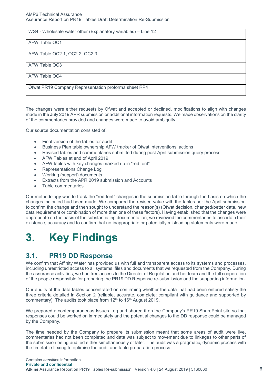| WS4 - Wholesale water other (Explanatory variables) – Line 12 |
|---------------------------------------------------------------|
| AFW Table OC1                                                 |
| AFW Table OC2.1, OC2.2, OC2.3                                 |
| AFW Table OC3                                                 |
| AFW Table OC4                                                 |
| Ofwat PR19 Company Representation proforma sheet RP4          |

The changes were either requests by Ofwat and accepted or declined, modifications to align with changes made in the July 2019 APR submission or additional information requests. We made observations on the clarity of the commentaries provided and changes were made to avoid ambiguity.

Our source documentation consisted of:

- Final version of the tables for audit
- Business Plan table ownership AFW tracker of Ofwat interventions' actions
- Revised tables and commentaries submitted during post April submission query process
- AFW Tables at end of April 2019
- AFW tables with key changes marked up in "red font"
- Representations Change Log
- Working (support) documents
- Extracts from the APR 2019 submission and Accounts
- Table commentaries

Our methodology was to track the "red font" changes in the submission table through the basis on which the changes indicated had been made. We compared the revised value with the tables per the April submission to confirm the change and then sought to understand the reason(s) (Ofwat decision, changed/better data, new data requirement or combination of more than one of these factors). Having established that the changes were appropriate on the basis of the substantiating documentation, we reviewed the commentaries to ascertain their existence, accuracy and to confirm that no inappropriate or potentially misleading statements were made.

## <span id="page-5-0"></span>**3. Key Findings**

### <span id="page-5-1"></span>**3.1. PR19 DD Response**

We confirm that Affinity Water has provided us with full and transparent access to its systems and processes, including unrestricted access to all systems, files and documents that we requested from the Company. During the assurance activities, we had free access to the Director of Regulation and her team and the full cooperation of the people responsible for preparing the PR19 DD Response re-submission and the supporting information.

Our audits of the data tables concentrated on confirming whether the data that had been entered satisfy the three criteria detailed in Section [2](#page-3-3) (reliable, accurate, complete; compliant with guidance and supported by commentary). The audits took place from 12<sup>th</sup> to 16<sup>th</sup> August 2019.

We prepared a contemporaneous Issues Log and shared it on the Company's PR19 SharePoint site so that responses could be worked on immediately and the potential changes to the DD response could be managed by the Company.

The time needed by the Company to prepare its submission meant that some areas of audit were live, commentaries had not been completed and data was subject to movement due to linkages to other parts of the submission being audited either simultaneously or later. The audit was a pragmatic, dynamic process with the timetable flexing to optimise the audit and table preparation process.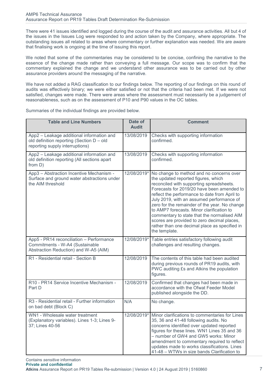There were 41 issues identified and logged during the course of the audit and assurance activities. All but 4 of the issues in the Issues Log were responded to and action taken by the Company, where appropriate. The outstanding issues all related to areas where commentary or further explanation was needed. We are aware that finalising work is ongoing at the time of issuing this report.

We noted that some of the commentaries may be considered to be concise, confining the narrative to the essence of the change made rather than conveying a full message. Our scope was to confirm that the commentary explained the change and we understand other assurance was to be carried out by other assurance providers around the messaging of the narrative.

We have not added a RAG classification to our findings below. The reporting of our findings on this round of audits was effectively binary; we were either satisfied or not that the criteria had been met. If we were not satisfied, changes were made. There were areas where the assessment must necessarily be a judgement of reasonableness, such as on the assessment of P10 and P90 values in the OC tables.

| <b>Table and Line Numbers</b>                                                                                             | Date of<br><b>Audit</b> | <b>Comment</b>                                                                                                                                                                                                                                                                                                                                                                                                                                                                                                                        |
|---------------------------------------------------------------------------------------------------------------------------|-------------------------|---------------------------------------------------------------------------------------------------------------------------------------------------------------------------------------------------------------------------------------------------------------------------------------------------------------------------------------------------------------------------------------------------------------------------------------------------------------------------------------------------------------------------------------|
| App2 - Leakage additional information and<br>old definition reporting (Section D - old<br>reporting supply interruptions) | 13/08/2019              | Checks with supporting information<br>confirmed.                                                                                                                                                                                                                                                                                                                                                                                                                                                                                      |
| App2 - Leakage additional information and<br>old definition reporting (All sections apart<br>from D)                      | 13/08/2019              | Checks with supporting information<br>confirmed.                                                                                                                                                                                                                                                                                                                                                                                                                                                                                      |
| App3 - Abstraction Incentive Mechanism -<br>Surface and ground water abstractions under<br>the AIM threshold              | 12/08/2019*             | No change to method and no concerns over<br>the updated reported figures, which<br>reconciled with supporting spreadsheets.<br>Forecasts for 2019/20 have been amended to<br>reflect the performance to date from April to<br>July 2019, with an assumed performance of<br>zero for the remainder of the year. No change<br>to AMP7 forecasts. Minor clarification to<br>commentary to state that the normalised AIM<br>scores are provided to zero decimal places,<br>rather than one decimal place as specified in<br>the template. |
| App5 - PR14 reconciliation - Performance<br>Commitments - W-A4 (Sustainable<br>Abstraction Reduction) and W-A5 (AIM)      | 12/08/2019*             | Table entries satisfactory following audit<br>challenges and resulting changes.                                                                                                                                                                                                                                                                                                                                                                                                                                                       |
| R1 - Residential retail - Section B                                                                                       | 12/08/2019              | The contents of this table had been audited<br>during previous rounds of PR19 audits, with<br>PWC auditing £s and Atkins the population<br>figures.                                                                                                                                                                                                                                                                                                                                                                                   |
| R10 - PR14 Service Incentive Mechanism -<br>Part D                                                                        | 12/08/2019              | Confirmed that changes had been made in<br>accordance with the Ofwat Feeder Model<br>published alongside the DD.                                                                                                                                                                                                                                                                                                                                                                                                                      |
| R3 - Residential retail - Further information<br>on bad debt (Block C)                                                    | N/A                     | No change.                                                                                                                                                                                                                                                                                                                                                                                                                                                                                                                            |
| WN1 - Wholesale water treatment<br>(Explanatory variables). Lines 1-3; Lines 9-<br>37; Lines 40-56                        | 12/08/2019*             | Minor clarifications to commentaries for Lines<br>35, 36 and 41-48 following audits. No<br>concerns identified over updated reported<br>figures for these lines. WN1 Lines 35 and 36<br>- number of GW4 and GW5 works: Minor<br>amendment to commentary required to reflect<br>updates made to works classifications. Lines<br>41-48 - WTWs in size bands Clarification to                                                                                                                                                            |

Summaries of the individual findings are provided below.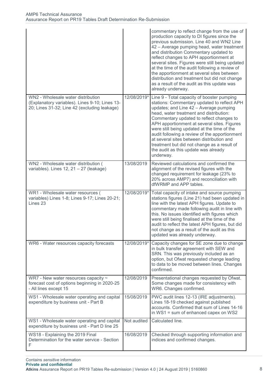|                                                                                                                                      |             | commentary to reflect change from the use of<br>production capacity to DI figures since the<br>previous submission. Line 40 and WN2 Line<br>42 – Average pumping head, water treatment<br>and distribution Commentary updated to<br>reflect changes to APH apportionment at<br>several sites. Figures were still being updated<br>at the time of the audit following a review of<br>the apportionment at several sites between<br>distribution and treatment but did not change<br>as a result of the audit as this update was<br>already underway. |
|--------------------------------------------------------------------------------------------------------------------------------------|-------------|-----------------------------------------------------------------------------------------------------------------------------------------------------------------------------------------------------------------------------------------------------------------------------------------------------------------------------------------------------------------------------------------------------------------------------------------------------------------------------------------------------------------------------------------------------|
| WN2 - Wholesale water distribution<br>(Explanatory variables). Lines 9-10; Lines 13-<br>20; Lines 31-32; Line 42 (excluding leakage) | 12/08/2019* | Line 9 - Total capacity of booster pumping<br>stations: Commentary updated to reflect APH<br>updates; and Line 42 - Average pumping<br>head, water treatment and distribution:<br>Commentary updated to reflect changes to<br>APH apportionment at several sites. Figures<br>were still being updated at the time of the<br>audit following a review of the apportionment<br>at several sites between distribution and<br>treatment but did not change as a result of<br>the audit as this update was already<br>underway.                          |
| WN2 - Wholesale water distribution (<br>variables). Lines $12$ , $21 - 27$ (leakage)                                                 | 13/08/2019  | Reviewed calculations and confirmed the<br>alignment of the revised figures with the<br>changed requirement for leakage (23% to<br>20% across AMP7) and reconciliation with<br>dfWRMP and APP tables.                                                                                                                                                                                                                                                                                                                                               |
| WR1 - Wholesale water resources (<br>variables) Lines 1-8; Lines 9-17; Lines 20-21;<br>Lines 23                                      | 12/08/2019* | Total capacity of intake and source pumping<br>stations figures (Line 21) had been updated in<br>line with the latest APH figures. Update to<br>commentary made following audit in line with<br>this. No issues identified with figures which<br>were still being finalised at the time of the<br>audit to reflect the latest APH figures, but did<br>not change as a result of the audit as this<br>updated was already underway.                                                                                                                  |
| WR6 - Water resources capacity forecasts                                                                                             | 12/08/2019* | Capacity changes for SE zone due to change<br>in bulk transfer agreement with SEW and<br>SRN. This was previously included as an<br>option, but Ofwat requested change leading<br>to data to be moved between lines. Changes<br>confirmed.                                                                                                                                                                                                                                                                                                          |
| WR7 - New water resources capacity $\sim$<br>forecast cost of options beginning in 2020-25<br>- All lines except 15                  | 12/08/2019  | Presentational changes requested by Ofwat.<br>Some changes made for consistency with<br>WR6. Changes confirmed.                                                                                                                                                                                                                                                                                                                                                                                                                                     |
| WS1 - Wholesale water operating and capital<br>expenditure by business unit - Part B                                                 | 15/08/2019  | PWC audit lines 12-13 (IRE adjustments).<br>Lines 18-19 checked against published<br>accounts. Confirmed that sum of Lines 14-16<br>in WS1 = sum of enhanced capex on WS2                                                                                                                                                                                                                                                                                                                                                                           |
| WS1 - Wholesale water operating and capital<br>expenditure by business unit - Part D line 25                                         | Not audited | Calculated line.                                                                                                                                                                                                                                                                                                                                                                                                                                                                                                                                    |
| WS18 - Explaining the 2019 Final<br>Determination for the water service - Section<br>F                                               | 16/08/2019  | Checked through supporting information and<br>indices and confirmed changes.                                                                                                                                                                                                                                                                                                                                                                                                                                                                        |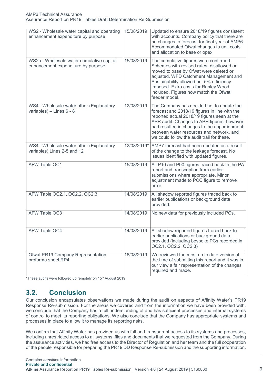| WS2 - Wholesale water capital and operating<br>enhancement expenditure by purpose | 15/08/2019  | Updated to ensure 2018/19 figures consistent<br>with accounts. Company policy that there are<br>no changes to forecast for final year of AMP6.<br>Accommodated Ofwat changes to unit costs<br>and allocation to base or opex.                                                                                                     |
|-----------------------------------------------------------------------------------|-------------|-----------------------------------------------------------------------------------------------------------------------------------------------------------------------------------------------------------------------------------------------------------------------------------------------------------------------------------|
| WS2a - Wholesale water cumulative capital<br>enhancement expenditure by purpose   | 15/08/2019  | The cumulative figures were confirmed.<br>Schemes with revised rates, disallowed or<br>moved to base by Ofwat were deleted or<br>adjusted. WFD Catchment Management and<br>Sustainability allowed but 5% efficiency<br>imposed. Extra costs for Runley Wood<br>included. Figures now match the Ofwat<br>feeder model.             |
| WS4 - Wholesale water other (Explanatory<br>variables) - Lines 6 - 8              | 12/08/2019  | The Company has decided not to update the<br>forecast and 2018/19 figures in line with the<br>reported actual 2018/19 figures seen at the<br>APR audit. Changes to APH figures, however<br>had resulted in changes to the apportionment<br>between water resources and network, and<br>we could follow the audit trail for these. |
| WS4 - Wholesale water other (Explanatory<br>variables) Lines 2-5 and 12           | 12/08/2019* | AMP7 forecast had been updated as a result<br>of the change to the leakage forecast. No<br>issues identified with updated figures.                                                                                                                                                                                                |
| AFW Table OC1                                                                     | 15/08/2019  | All P10 and P90 figures traced back to the PA<br>report and transcription from earlier<br>submissions where appropriate. Minor<br>adjustment made to PCC figure to remove<br>error.                                                                                                                                               |
| AFW Table OC2.1, OC2.2, OC2.3                                                     | 14/08/2019  | All shadow reported figures traced back to<br>earlier publications or background data<br>provided.                                                                                                                                                                                                                                |
| AFW Table OC3                                                                     | 14/08/2019  | No new data for previously included PCs.                                                                                                                                                                                                                                                                                          |
| AFW Table OC4                                                                     | 14/08/2019  | All shadow reported figures traced back to<br>earlier publications or background data<br>provided (including bespoke PCs recorded in<br>OC2.1, OC2.2, OC2,3)                                                                                                                                                                      |
| Ofwat PR19 Company Representation<br>proforma sheet RP4                           | 16/08/2019  | We reviewed the most up to date version at<br>the time of submitting this report and it was in<br>our view a fair representation of the changes<br>required and made.                                                                                                                                                             |

\*These audits were followed up remotely on 15<sup>th</sup> August 2019

### <span id="page-8-0"></span>**3.2. Conclusion**

Our conclusion encapsulates observations we made during the audit on aspects of Affinity Water's PR19 Response Re-submission. For the areas we covered and from the information we have been provided with, we conclude that the Company has a full understanding of and has sufficient processes and internal systems of control to meet its reporting obligations. We also conclude that the Company has appropriate systems and processes in place to allow it to manage its reporting risks.

We confirm that Affinity Water has provided us with full and transparent access to its systems and processes, including unrestricted access to all systems, files and documents that we requested from the Company. During the assurance activities, we had free access to the Director of Regulation and her team and the full cooperation of the people responsible for preparing the PR19 DD Response Re-submission and the supporting information.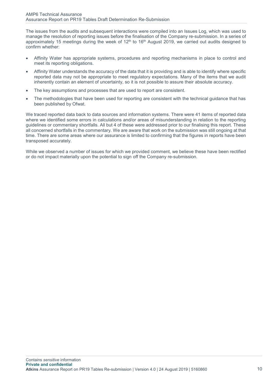The issues from the audits and subsequent interactions were compiled into an Issues Log, which was used to manage the resolution of reporting issues before the finalisation of the Company re-submission. In a series of approximately 15 meetings during the week of 12<sup>th</sup> to 16<sup>th</sup> August 2019, we carried out audits designed to confirm whether:

- Affinity Water has appropriate systems, procedures and reporting mechanisms in place to control and meet its reporting obligations.
- Affinity Water understands the accuracy of the data that it is providing and is able to identify where specific reported data may not be appropriate to meet regulatory expectations. Many of the items that we audit inherently contain an element of uncertainty, so it is not possible to assure their absolute accuracy.
- The key assumptions and processes that are used to report are consistent.
- The methodologies that have been used for reporting are consistent with the technical guidance that has been published by Ofwat.

We traced reported data back to data sources and information systems. There were 41 items of reported data where we identified some errors in calculations and/or areas of misunderstanding in relation to the reporting guidelines or commentary shortfalls. All but 4 of these were addressed prior to our finalising this report. These all concerned shortfalls in the commentary. We are aware that work on the submission was still ongoing at that time. There are some areas where our assurance is limited to confirming that the figures in reports have been transposed accurately.

While we observed a number of issues for which we provided comment, we believe these have been rectified or do not impact materially upon the potential to sign off the Company re-submission.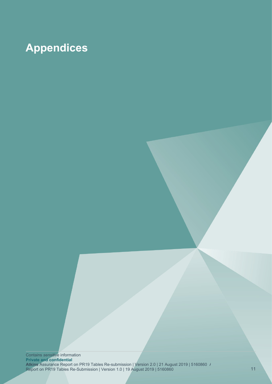## <span id="page-10-0"></span>**Appendices**

Contains *sensitive* information **Private and confidential Atkins** Assurance Report on PR19 Tables Re-submission | Version 2.0 | 21 August 2019 | 5160860 Assurance Report Report on PR19 Tables Re-Submission | Version 1.0 | 19 August 2019 | 5160860 11 | 10 | 11 | 12 | 13 | 14 | 15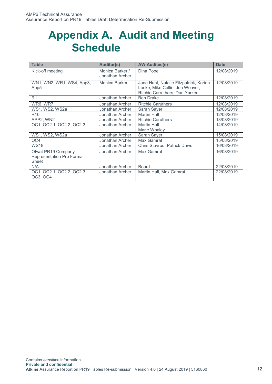## <span id="page-11-0"></span>**Appendix A. Audit and Meeting Schedule**

| <b>Table</b>                                            | <b>Auditor(s)</b>                  | <b>AW Auditee(s)</b>                                                                                        | <b>Date</b> |
|---------------------------------------------------------|------------------------------------|-------------------------------------------------------------------------------------------------------------|-------------|
| Kick-off meeting                                        | Monica Barker /<br>Jonathan Archer | Dina Pope                                                                                                   | 12/08/2019  |
| WN1, WN2, WR1, WS4, App3,<br>App5                       | Monica Barker                      | Jane Hunt, Natalie Fitzpatrick, Karinn<br>Locke, Mike Collin, Jon Weaver,<br>Ritchie Carruthers, Dan Yarker | 12/08/2019  |
| R <sub>1</sub>                                          | Jonathan Archer                    | <b>Ben Drake</b>                                                                                            | 12/08/2019  |
| WR6, WR7                                                | Jonathan Archer                    | <b>Ritchie Caruthers</b>                                                                                    | 12/08/2019  |
| WS1, WS2, WS2a                                          | Jonathan Archer                    | Sarah Sayer                                                                                                 | 12/08/2019  |
| R <sub>10</sub>                                         | Jonathan Archer                    | <b>Martin Hall</b>                                                                                          | 12/08/2019  |
| APP2, WN2                                               | Jonathan Archer                    | <b>Ritchie Caruthers</b>                                                                                    | 13/08/2019  |
| OC1, OC2.1, OC2.2, OC2.3                                | Jonathan Archer                    | <b>Martin Hall</b><br>Marie Whaley                                                                          | 14/08/2019  |
| WS1, WS2, WS2a                                          | Jonathan Archer                    | Sarah Sayer                                                                                                 | 15/08/2019  |
| OC <sub>4</sub>                                         | Jonathan Archer                    | Max Gamrat                                                                                                  | 15/08/2019  |
| <b>WS18</b>                                             | Jonathan Archer                    | Chris Stavrou, Patrick Daws                                                                                 | 16/08/2019  |
| Ofwat PR19 Company<br>Representation Pro Forma<br>Sheet | Jonathan Archer                    | Max Gamrat                                                                                                  | 16/08/2019  |
| N/A                                                     | Jonathan Archer                    | <b>Board</b>                                                                                                | 22/08/2019  |
| OC1, OC2.1, OC2.2, OC2.3,<br>OC3, OC4                   | Jonathan Archer                    | Martin Hall, Max Gamrat                                                                                     | 22/08/2019  |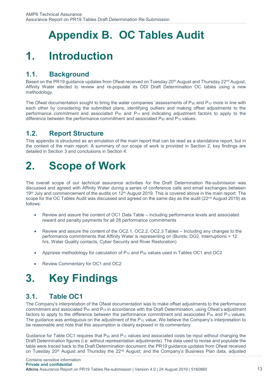## **Appendix B. OC Tables Audit**

## <span id="page-12-1"></span><span id="page-12-0"></span>**1. Introduction**

### <span id="page-12-2"></span>**1.1. Background**

Based on the PR19 guidance updates from Ofwat received on Tuesday 20<sup>th</sup> August and Thursday 22<sup>nd</sup> August, Affinity Water elected to review and re-populate its ODI Draft Determination OC tables using a new methodology.

The Ofwat documentation sought to bring the water companies 'assessments of  $P_{90}$  and  $P_{10}$  more in line with each other by considering the submitted plans, identifying outliers and making offset adjustments to the performance commitment and associated  $P_{90}$  and  $P_{10}$  and indicating adjustment factors to apply to the difference between the performance commitment and associated  $P_{90}$  and  $P_{10}$  values.

### <span id="page-12-3"></span>**1.2. Report Structure**

This appendix is structured as an emulation of the main report that can be read as a standalone report, but in the context of the main report. A summary of our scope of work is provided in Section [2,](#page-3-3) key findings are detailed in Section [3](#page-5-0) and conclusions in Section 4.

## <span id="page-12-4"></span>**2. Scope of Work**

The overall scope of our technical assurance activities for the Draft Determination Re-submission was discussed and agreed with Affinity Water during a series of conference calls and email exchanges between 19<sup>th</sup> July and commencement of the audits on 12<sup>th</sup> August 2019. This is covered above in the main report. The scope for the OC Tables Audit was discussed and agreed on the same day as the audit (22<sup>nd</sup> August 2019) as follows:

- Review and assure the content of OC1 Data Table including performance levels and associated reward and penalty payments for all 28 performance commitments
- Review and assure the content of the OC2.1, OC2.2, OC2.3 Tables Including any changes to the performance commitments that Affinity Water is representing on (Bursts, DG2, Interruptions > 12 hrs, Water Quality contacts, Cyber Security and River Restoration)
- Appraise methodology for calculation of  $P_{10}$  and  $P_{90}$  values used in Tables OC1 and OC2
- Review Commentary for OC1 and OC2

## <span id="page-12-5"></span>**3. Key Findings**

### <span id="page-12-6"></span>**3.1. Table OC1**

The Company's interpretation of the Ofwat documentation was to make offset adjustments to the performance commitment and associated  $P_{90}$  and  $P_{10}$  in accordance with the Draft Determination, using Ofwat's adjustment factors to apply to the difference between the performance commitment and associated  $P_{90}$  and  $P_{10}$  values. The guidance was ambiguous on the adjustment of the  $P_{10}$  value. We believe the Company's interpretation to be reasonable and note that this assumption is clearly exposed in its commentary.

Guidance for Table OC1 requires that  $P_{90}$  and  $P_{10}$  values and associated costs be input without changing the Draft Determination figures (i.e. without representation adjustments). The data used to revise and populate the table were traced back to the Draft Determination document; the PR19 guidance updates from Ofwat received on Tuesday 20<sup>th</sup> August and Thursday the 22<sup>nd</sup> August; and the Company's Business Plan data, adjusted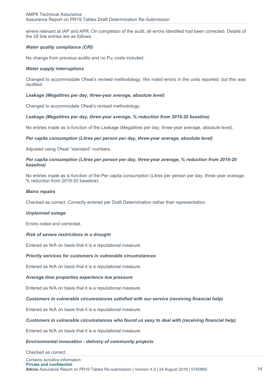where relevant at IAP and APR. On completion of the audit, all errors identified had been corrected. Details of the 28 line entries are as follows:

#### *Water quality compliance (CRI)*

No change from previous audits and no  $P_{90}$  costs included.

#### *Water supply interruptions*

Changed to accommodate Ofwat's revised methodology. We noted errors in the units reported, but this was rectified.

#### *Leakage (Megalitres per day, three-year average, absolute level)*

Changed to accommodate Ofwat's revised methodology.

#### *Leakage (Megalitres per day, three-year average, % reduction from 2019-20 baseline)*

No entries made as is function of the Leakage (Megalitres per day, three-year average, absolute level).

#### *Per capita consumption (Litres per person per day, three-year average, absolute level)*

Adjusted using Ofwat "standard" numbers.

#### *Per capita consumption (Litres per person per day, three-year average, % reduction from 2019-20 baseline)*

No entries made as is function of the Per capita consumption (Litres per person per day, three-year average, % reduction from 2019-20 baseline).

#### *Mains repairs*

Checked as correct. Correctly entered per Draft Determination rather than representation.

#### *Unplanned outage*

Errors noted and corrected.

#### *Risk of severe restrictions in a drought*

Entered as N/A on basis that it is a reputational measure.

#### *Priority services for customers in vulnerable circumstances*

Entered as N/A on basis that it is a reputational measure.

#### *Average time properties experience low pressure*

Entered as N/A on basis that it is a reputational measure.

#### *Customers in vulnerable circumstances satisfied with our service (receiving financial help)*

Entered as N/A on basis that it is a reputational measure.

#### *Customers in vulnerable circumstances who found us easy to deal with (receiving financial help)*

Entered as N/A on basis that it is a reputational measure.

#### *Environmental innovation - delivery of community projects*

Checked as correct.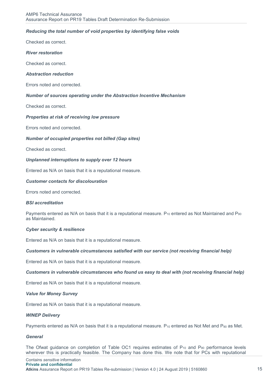#### *Reducing the total number of void properties by identifying false voids*

Checked as correct.

#### *River restoration*

Checked as correct.

#### *Abstraction reduction*

Errors noted and corrected.

#### *Number of sources operating under the Abstraction Incentive Mechanism*

Checked as correct.

#### *Properties at risk of receiving low pressure*

Errors noted and corrected.

#### *Number of occupied properties not billed (Gap sites)*

Checked as correct.

#### *Unplanned interruptions to supply over 12 hours*

Entered as N/A on basis that it is a reputational measure.

#### *Customer contacts for discolouration*

Errors noted and corrected.

#### *BSI accreditation*

Payments entered as N/A on basis that it is a reputational measure.  $P_{10}$  entered as Not Maintained and P<sub>90</sub> as Maintained.

#### *Cyber security & resilience*

Entered as N/A on basis that it is a reputational measure.

#### *Customers in vulnerable circumstances satisfied with our service (not receiving financial help)*

Entered as N/A on basis that it is a reputational measure.

#### *Customers in vulnerable circumstances who found us easy to deal with (not receiving financial help)*

Entered as N/A on basis that it is a reputational measure.

#### *Value for Money Survey*

Entered as N/A on basis that it is a reputational measure.

#### *WINEP Delivery*

Payments entered as N/A on basis that it is a reputational measure. P<sub>10</sub> entered as Not Met and P<sub>90</sub> as Met.

#### *General*

The Ofwat guidance on completion of Table OC1 requires estimates of P<sub>10</sub> and P<sub>90</sub> performance levels wherever this is practically feasible. The Company has done this. We note that for PCs with reputational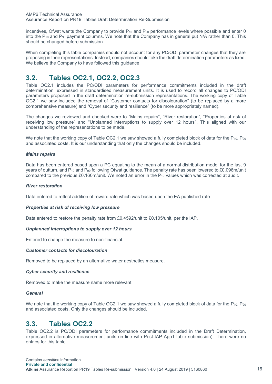incentives, Ofwat wants the Company to provide  $P_{10}$  and  $P_{90}$  performance levels where possible and enter 0 into the  $P_{10}$  and  $P_{90}$  payment columns. We note that the Company has in general put N/A rather than 0. This should be changed before submission.

When completing this table companies should not account for any PC/ODI parameter changes that they are proposing in their representations. Instead, companies should take the draft determination parameters as fixed. We believe the Company to have followed this guidance

## <span id="page-15-0"></span>**3.2. Tables OC2.1, OC2.2, OC2.3**

Table OC2.1 includes the PC/ODI parameters for performance commitments included in the draft determination, expressed in standardised measurement units. It is used to record all changes to PC/ODI parameters proposed in the draft determination re-submission representations. The working copy of Table OC2.1 we saw included the removal of "Customer contacts for discolouration" (to be replaced by a more comprehensive measure) and "Cyber security and resilience" (to be more appropriately named).

The changes we reviewed and checked were to "Mains repairs", "River restoration", "Properties at risk of receiving low pressure" and "Unplanned interruptions to supply over 12 hours". This aligned with our understanding of the representations to be made.

We note that the working copy of Table OC2.1 we saw showed a fully completed block of data for the  $P_{10}$ ,  $P_{90}$ and associated costs. It is our understanding that only the changes should be included.

#### *Mains repairs*

Data has been entered based upon a PC equating to the mean of a normal distribution model for the last 9 years of outturn, and  $P_{10}$  and  $P_{90}$  following Ofwat guidance. The penalty rate has been lowered to £0.096m/unit compared to the previous £0.160m/unit. We noted an error in the  $P_{10}$  values which was corrected at audit.

#### *River restoration*

Data entered to reflect addition of reward rate which was based upon the EA published rate.

#### *Properties at risk of receiving low pressure*

Data entered to restore the penalty rate from £0.4592/unit to £0.105/unit, per the IAP.

#### *Unplanned interruptions to supply over 12 hours*

Entered to change the measure to non-financial.

#### *Customer contacts for discolouration*

Removed to be replaced by an alternative water aesthetics measure.

#### *Cyber security and resilience*

Removed to make the measure name more relevant.

#### *General*

We note that the working copy of Table OC2.1 we saw showed a fully completed block of data for the  $P_{10}$ ,  $P_{90}$ and associated costs. Only the changes should be included.

### <span id="page-15-1"></span>**3.3. Tables OC2.2**

Table OC2.2 is PC/ODI parameters for performance commitments included in the Draft Determination, expressed in alternative measurement units (in line with Post-IAP App1 table submission). There were no entries for this table.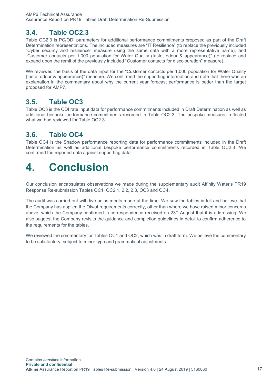### <span id="page-16-0"></span>**3.4. Table OC2.3**

Table OC2.3 is PC/ODI parameters for additional performance commitments proposed as part of the Draft Determination representations. The included measures are "IT Resilience" (to replace the previously included "Cyber security and resilience" measure using the same data with a more representative name); and "Customer contacts per 1,000 population for Water Quality (taste, odour & appearance)" (to replace and expand upon the remit of the previously included "Customer contacts for discolouration" measure).

We reviewed the basis of the data input for the "Customer contacts per 1,000 population for Water Quality (taste, odour & appearance)" measure. We confirmed the supporting information and note that there was an explanation in the commentary about why the current year forecast performance is better than the target proposed for AMP7.

### <span id="page-16-1"></span>**3.5. Table OC3**

Table OC3 is the ODI rate input data for performance commitments included in Draft Determination as well as additional bespoke performance commitments recorded in Table OC2.3. The bespoke measures reflected what we had reviewed for Table OC2.3.

### <span id="page-16-2"></span>**3.6. Table OC4**

Table OC4 is the Shadow performance reporting data for performance commitments included in the Draft Determination as well as additional bespoke performance commitments recorded in Table OC2.3. We confirmed the reported data against supporting data.

## <span id="page-16-3"></span>**4. Conclusion**

Our conclusion encapsulates observations we made during the supplementary audit Affinity Water's PR19 Response Re-submission Tables OC1, OC2.1, 2.2, 2.3, OC3 and OC4.

The audit was carried out with live adjustments made at the time. We saw the tables in full and believe that the Company has applied the Ofwat requirements correctly, other than where we have raised minor concerns above, which the Company confirmed in correspondence received on 23<sup>rd</sup> August that it is addressing. We also suggest the Company revisits the guidance and completion guidelines in detail to confirm adherence to the requirements for the tables.

We reviewed the commentary for Tables OC1 and OC2, which was in draft form. We believe the commentary to be satisfactory, subject to minor typo and grammatical adjustments.